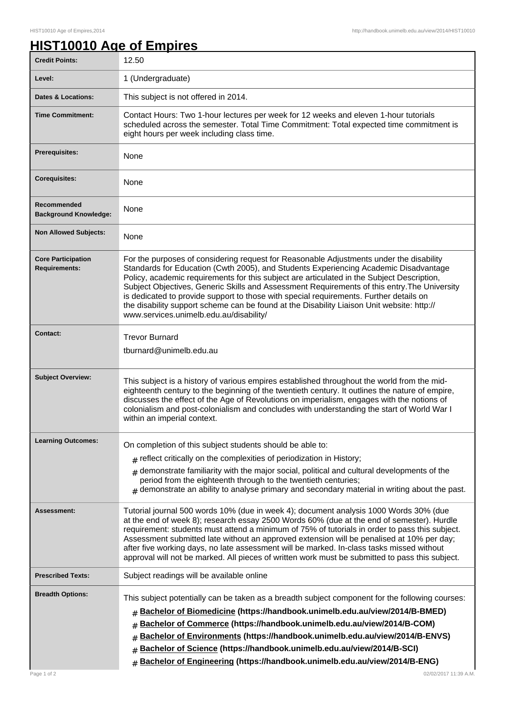## **HIST10010 Age of Empires**

| <b>Credit Points:</b>                             | 12.50                                                                                                                                                                                                                                                                                                                                                                                                                                                                                                                                                                                                            |
|---------------------------------------------------|------------------------------------------------------------------------------------------------------------------------------------------------------------------------------------------------------------------------------------------------------------------------------------------------------------------------------------------------------------------------------------------------------------------------------------------------------------------------------------------------------------------------------------------------------------------------------------------------------------------|
| Level:                                            | 1 (Undergraduate)                                                                                                                                                                                                                                                                                                                                                                                                                                                                                                                                                                                                |
| <b>Dates &amp; Locations:</b>                     | This subject is not offered in 2014.                                                                                                                                                                                                                                                                                                                                                                                                                                                                                                                                                                             |
| <b>Time Commitment:</b>                           | Contact Hours: Two 1-hour lectures per week for 12 weeks and eleven 1-hour tutorials<br>scheduled across the semester. Total Time Commitment: Total expected time commitment is<br>eight hours per week including class time.                                                                                                                                                                                                                                                                                                                                                                                    |
| <b>Prerequisites:</b>                             | None                                                                                                                                                                                                                                                                                                                                                                                                                                                                                                                                                                                                             |
| <b>Corequisites:</b>                              | None                                                                                                                                                                                                                                                                                                                                                                                                                                                                                                                                                                                                             |
| Recommended<br><b>Background Knowledge:</b>       | None                                                                                                                                                                                                                                                                                                                                                                                                                                                                                                                                                                                                             |
| <b>Non Allowed Subjects:</b>                      | None                                                                                                                                                                                                                                                                                                                                                                                                                                                                                                                                                                                                             |
| <b>Core Participation</b><br><b>Requirements:</b> | For the purposes of considering request for Reasonable Adjustments under the disability<br>Standards for Education (Cwth 2005), and Students Experiencing Academic Disadvantage<br>Policy, academic requirements for this subject are articulated in the Subject Description,<br>Subject Objectives, Generic Skills and Assessment Requirements of this entry. The University<br>is dedicated to provide support to those with special requirements. Further details on<br>the disability support scheme can be found at the Disability Liaison Unit website: http://<br>www.services.unimelb.edu.au/disability/ |
| <b>Contact:</b>                                   | <b>Trevor Burnard</b><br>tburnard@unimelb.edu.au                                                                                                                                                                                                                                                                                                                                                                                                                                                                                                                                                                 |
| <b>Subject Overview:</b>                          | This subject is a history of various empires established throughout the world from the mid-<br>eighteenth century to the beginning of the twentieth century. It outlines the nature of empire,<br>discusses the effect of the Age of Revolutions on imperialism, engages with the notions of<br>colonialism and post-colonialism and concludes with understanding the start of World War I<br>within an imperial context.                                                                                                                                                                                        |
| <b>Learning Outcomes:</b>                         | On completion of this subject students should be able to:                                                                                                                                                                                                                                                                                                                                                                                                                                                                                                                                                        |
|                                                   | $#$ reflect critically on the complexities of periodization in History;                                                                                                                                                                                                                                                                                                                                                                                                                                                                                                                                          |
|                                                   | demonstrate familiarity with the major social, political and cultural developments of the<br>#<br>period from the eighteenth through to the twentieth centuries;<br>$#$ demonstrate an ability to analyse primary and secondary material in writing about the past.                                                                                                                                                                                                                                                                                                                                              |
| <b>Assessment:</b>                                | Tutorial journal 500 words 10% (due in week 4); document analysis 1000 Words 30% (due<br>at the end of week 8); research essay 2500 Words 60% (due at the end of semester). Hurdle<br>requirement: students must attend a minimum of 75% of tutorials in order to pass this subject.<br>Assessment submitted late without an approved extension will be penalised at 10% per day;<br>after five working days, no late assessment will be marked. In-class tasks missed without<br>approval will not be marked. All pieces of written work must be submitted to pass this subject.                                |
| <b>Prescribed Texts:</b>                          | Subject readings will be available online                                                                                                                                                                                                                                                                                                                                                                                                                                                                                                                                                                        |
| <b>Breadth Options:</b><br>Page 1 of 2            | This subject potentially can be taken as a breadth subject component for the following courses:<br>Bachelor of Biomedicine (https://handbook.unimelb.edu.au/view/2014/B-BMED)<br>#<br>Bachelor of Commerce (https://handbook.unimelb.edu.au/view/2014/B-COM)<br>#<br>Bachelor of Environments (https://handbook.unimelb.edu.au/view/2014/B-ENVS)<br>#<br>Bachelor of Science (https://handbook.unimelb.edu.au/view/2014/B-SCI)<br>#<br>Bachelor of Engineering (https://handbook.unimelb.edu.au/view/2014/B-ENG)<br>#<br>02/02/2017 11:39 A.M.                                                                   |